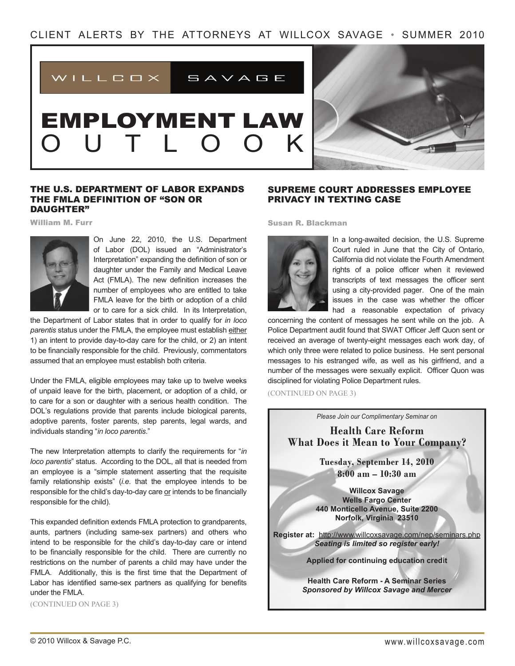

# EMPLOYMENT LAW O U T L O O K



## The U.S. Department of Labor Expands the FMLA Definition of "Son or DAUGHTER"

William M. Furr



On June 22, 2010, the U.S. Department of Labor (DOL) issued an "Administrator's Interpretation" expanding the definition of son or daughter under the Family and Medical Leave Act (FMLA). The new definition increases the number of employees who are entitled to take FMLA leave for the birth or adoption of a child or to care for a sick child. In its Interpretation,

the Department of Labor states that in order to qualify for *in loco parentis* status under the FMLA, the employee must establish either 1) an intent to provide day-to-day care for the child, or 2) an intent to be financially responsible for the child. Previously, commentators assumed that an employee must establish both criteria.

Under the FMLA, eligible employees may take up to twelve weeks of unpaid leave for the birth, placement, or adoption of a child, or to care for a son or daughter with a serious health condition. The DOL's regulations provide that parents include biological parents, adoptive parents, foster parents, step parents, legal wards, and individuals standing "*in loco parentis*."

The new Interpretation attempts to clarify the requirements for "*in loco parentis*" status. According to the DOL, all that is needed from an employee is a "simple statement asserting that the requisite family relationship exists" (*i.e*. that the employee intends to be responsible for the child's day-to-day care or intends to be financially responsible for the child).

This expanded definition extends FMLA protection to grandparents, aunts, partners (including same-sex partners) and others who intend to be responsible for the child's day-to-day care or intend to be financially responsible for the child. There are currently no restrictions on the number of parents a child may have under the FMLA. Additionally, this is the first time that the Department of Labor has identified same-sex partners as qualifying for benefits under the FMLA.

(CONTINUED ON PAGE 3)

# Supreme Court Addresses Employee Privacy in Texting Case

Susan R. Blackman



In a long-awaited decision, the U.S. Supreme Court ruled in June that the City of Ontario, California did not violate the Fourth Amendment rights of a police officer when it reviewed transcripts of text messages the officer sent using a city-provided pager. One of the main issues in the case was whether the officer had a reasonable expectation of privacy

concerning the content of messages he sent while on the job. A Police Department audit found that SWAT Officer Jeff Quon sent or received an average of twenty-eight messages each work day, of which only three were related to police business. He sent personal messages to his estranged wife, as well as his girlfriend, and a number of the messages were sexually explicit. Officer Quon was disciplined for violating Police Department rules.

(CONTINUED ON PAGE 3)

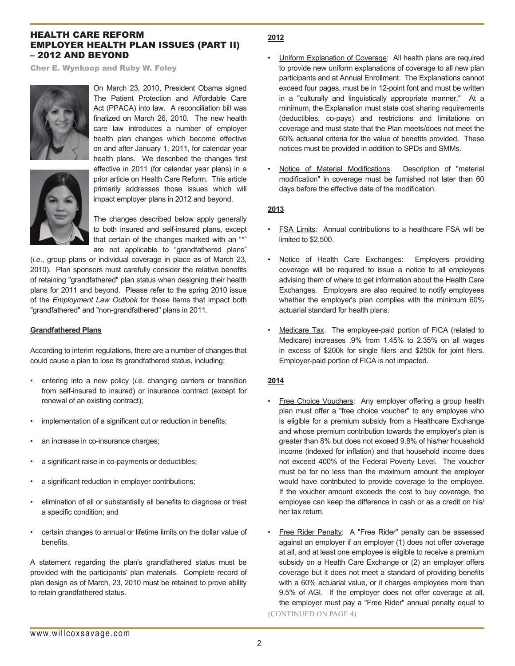## Health Care Reform Employer Health Plan Issues (Part II) – 2012 and Beyond

Cher E. Wynkoop and Ruby W. Foley



On March 23, 2010, President Obama signed The Patient Protection and Affordable Care Act (PPACA) into law. A reconciliation bill was finalized on March 26, 2010. The new health care law introduces a number of employer health plan changes which become effective on and after January 1, 2011, for calendar year health plans. We described the changes first effective in 2011 (for calendar year plans) in a



prior article on Health Care Reform. This article primarily addresses those issues which will impact employer plans in 2012 and beyond.

The changes described below apply generally to both insured and self-insured plans, except that certain of the changes marked with an "\*" are not applicable to "grandfathered plans"

(*i.e*., group plans or individual coverage in place as of March 23, 2010). Plan sponsors must carefully consider the relative benefits of retaining "grandfathered" plan status when designing their health plans for 2011 and beyond. Please refer to the spring 2010 issue of the *Employment Law Outlook* for those items that impact both "grandfathered" and "non-grandfathered" plans in 2011.

#### **Grandfathered Plans**

According to interim regulations, there are a number of changes that could cause a plan to lose its grandfathered status, including:

- entering into a new policy (*i.e*. changing carriers or transition from self-insured to insured) or insurance contract (except for renewal of an existing contract);
- implementation of a significant cut or reduction in benefits;
- an increase in co-insurance charges;
- a significant raise in co-payments or deductibles;
- a significant reduction in employer contributions;
- elimination of all or substantially all benefits to diagnose or treat a specific condition; and
- certain changes to annual or lifetime limits on the dollar value of benefits.

A statement regarding the plan's grandfathered status must be provided with the participants' plan materials. Complete record of plan design as of March, 23, 2010 must be retained to prove ability to retain grandfathered status.

## **2012**

- Uniform Explanation of Coverage: All health plans are required to provide new uniform explanations of coverage to all new plan participants and at Annual Enrollment. The Explanations cannot exceed four pages, must be in 12-point font and must be written in a "culturally and linguistically appropriate manner." At a minimum, the Explanation must state cost sharing requirements (deductibles, co-pays) and restrictions and limitations on coverage and must state that the Plan meets/does not meet the 60% actuarial criteria for the value of benefits provided. These notices must be provided in addition to SPDs and SMMs.
- Notice of Material Modifications. Description of "material modification" in coverage must be furnished not later than 60 days before the effective date of the modification.

## **2013**

- FSA Limits: Annual contributions to a healthcare FSA will be limited to \$2,500.
- Notice of Health Care Exchanges: Employers providing coverage will be required to issue a notice to all employees advising them of where to get information about the Health Care Exchanges. Employers are also required to notify employees whether the employer's plan complies with the minimum 60% actuarial standard for health plans.
- Medicare Tax. The employee-paid portion of FICA (related to Medicare) increases .9% from 1.45% to 2.35% on all wages in excess of \$200k for single filers and \$250k for joint filers. Employer-paid portion of FICA is not impacted.

## **2014**

- Free Choice Vouchers: Any employer offering a group health plan must offer a "free choice voucher" to any employee who is eligible for a premium subsidy from a Healthcare Exchange and whose premium contribution towards the employer's plan is greater than 8% but does not exceed 9.8% of his/her household income (indexed for inflation) and that household income does not exceed 400% of the Federal Poverty Level. The voucher must be for no less than the maximum amount the employer would have contributed to provide coverage to the employee. If the voucher amount exceeds the cost to buy coverage, the employee can keep the difference in cash or as a credit on his/ her tax return.
- Free Rider Penalty: A "Free Rider" penalty can be assessed against an employer if an employer (1) does not offer coverage at all, and at least one employee is eligible to receive a premium subsidy on a Health Care Exchange or (2) an employer offers coverage but it does not meet a standard of providing benefits with a 60% actuarial value, or it charges employees more than 9.5% of AGI. If the employer does not offer coverage at all, the employer must pay a "Free Rider" annual penalty equal to (CONTINUED ON PAGE 4)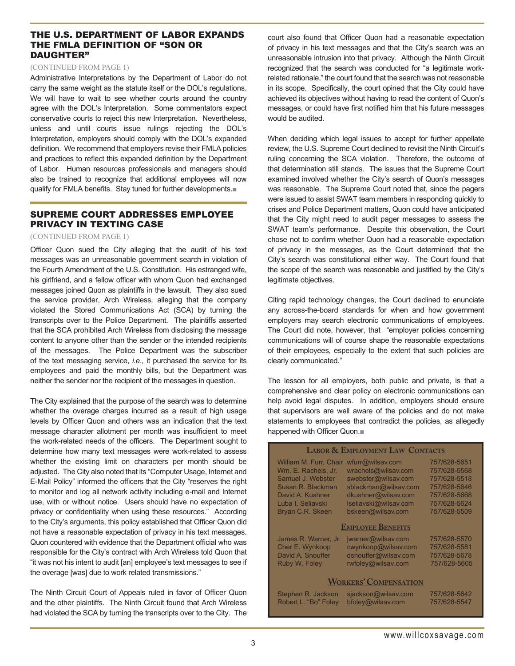## The U.S. Department of Labor Expands the FMLA Definition of "Son or DAUGHTER"

#### (CONTINUED FROM PAGE 1)

Administrative Interpretations by the Department of Labor do not carry the same weight as the statute itself or the DOL's regulations. We will have to wait to see whether courts around the country agree with the DOL's Interpretation. Some commentators expect conservative courts to reject this new Interpretation. Nevertheless, unless and until courts issue rulings rejecting the DOL's Interpretation, employers should comply with the DOL's expanded definition. We recommend that employers revise their FMLA policies and practices to reflect this expanded definition by the Department of Labor. Human resources professionals and managers should also be trained to recognize that additional employees will now qualify for FMLA benefits. Stay tuned for further developments.■

# Supreme Court Addresses Employee Privacy in Texting Case

#### (CONTINUED FROM PAGE 1)

Officer Quon sued the City alleging that the audit of his text messages was an unreasonable government search in violation of the Fourth Amendment of the U.S. Constitution. His estranged wife, his girlfriend, and a fellow officer with whom Quon had exchanged messages joined Quon as plaintiffs in the lawsuit. They also sued the service provider, Arch Wireless, alleging that the company violated the Stored Communications Act (SCA) by turning the transcripts over to the Police Department. The plaintiffs asserted that the SCA prohibited Arch Wireless from disclosing the message content to anyone other than the sender or the intended recipients of the messages. The Police Department was the subscriber of the text messaging service, *i.e*., it purchased the service for its employees and paid the monthly bills, but the Department was neither the sender nor the recipient of the messages in question.

The City explained that the purpose of the search was to determine whether the overage charges incurred as a result of high usage levels by Officer Quon and others was an indication that the text message character allotment per month was insufficient to meet the work-related needs of the officers. The Department sought to determine how many text messages were work-related to assess whether the existing limit on characters per month should be adjusted. The City also noted that its "Computer Usage, Internet and E-Mail Policy" informed the officers that the City "reserves the right to monitor and log all network activity including e-mail and Internet use, with or without notice. Users should have no expectation of privacy or confidentiality when using these resources." According to the City's arguments, this policy established that Officer Quon did not have a reasonable expectation of privacy in his text messages. Quon countered with evidence that the Department official who was responsible for the City's contract with Arch Wireless told Quon that "it was not his intent to audit [an] employee's text messages to see if the overage [was] due to work related transmissions."

The Ninth Circuit Court of Appeals ruled in favor of Officer Quon and the other plaintiffs. The Ninth Circuit found that Arch Wireless had violated the SCA by turning the transcripts over to the City. The court also found that Officer Quon had a reasonable expectation of privacy in his text messages and that the City's search was an unreasonable intrusion into that privacy. Although the Ninth Circuit recognized that the search was conducted for "a legitimate workrelated rationale," the court found that the search was not reasonable in its scope. Specifically, the court opined that the City could have achieved its objectives without having to read the content of Quon's messages, or could have first notified him that his future messages would be audited.

When deciding which legal issues to accept for further appellate review, the U.S. Supreme Court declined to revisit the Ninth Circuit's ruling concerning the SCA violation. Therefore, the outcome of that determination still stands. The issues that the Supreme Court examined involved whether the City's search of Quon's messages was reasonable. The Supreme Court noted that, since the pagers were issued to assist SWAT team members in responding quickly to crises and Police Department matters, Quon could have anticipated that the City might need to audit pager messages to assess the SWAT team's performance. Despite this observation, the Court chose not to confirm whether Quon had a reasonable expectation of privacy in the messages, as the Court determined that the City's search was constitutional either way. The Court found that the scope of the search was reasonable and justified by the City's legitimate objectives.

Citing rapid technology changes, the Court declined to enunciate any across-the-board standards for when and how government employers may search electronic communications of employees. The Court did note, however, that "employer policies concerning communications will of course shape the reasonable expectations of their employees, especially to the extent that such policies are clearly communicated."

The lesson for all employers, both public and private, is that a comprehensive and clear policy on electronic communications can help avoid legal disputes. In addition, employers should ensure that supervisors are well aware of the policies and do not make statements to employees that contradict the policies, as allegedly happened with Officer Quon.■

| <b>LABOR &amp; EMPLOYMENT LAW CONTACTS</b> |                       |              |
|--------------------------------------------|-----------------------|--------------|
| William M. Furr, Chair                     | wfurr@wilsav.com      | 757/628-5651 |
| Wm. E. Rachels. Jr.                        | wrachels@wilsav.com   | 757/628-5568 |
| Samuel J. Webster                          | swebster@wilsav.com   | 757/628-5518 |
| Susan R. Blackman                          | sblackman@wilsav.com  | 757/628-5646 |
| David A. Kushner                           | dkushner@wilsav.com   | 757/628-5668 |
| Luba I. Seliavski                          | Iseliavski@wilsav.com | 757/628-5624 |
| Bryan C.R. Skeen                           | bskeen@wilsav.com     | 757/628-5509 |
| <b>EMPLOYEE BENEFITS</b>                   |                       |              |
| James R. Warner, Jr.                       | jwarner@wilsav.com    | 757/628-5570 |
| Cher E. Wynkoop                            | cwynkoop@wilsav.com   | 757/628-5581 |
| David A. Snouffer                          | dsnouffer@wilsav.com  | 757/628-5678 |
| Ruby W. Foley                              | rwfoley@wilsav.com    | 757/628-5605 |
|                                            |                       |              |
| <b>WORKERS' COMPENSATION</b>               |                       |              |
| Stephen R. Jackson                         | sjackson@wilsav.com   | 757/628-5642 |
| Robert L. "Bo" Foley                       | bfoley@wilsav.com     | 757/628-5547 |